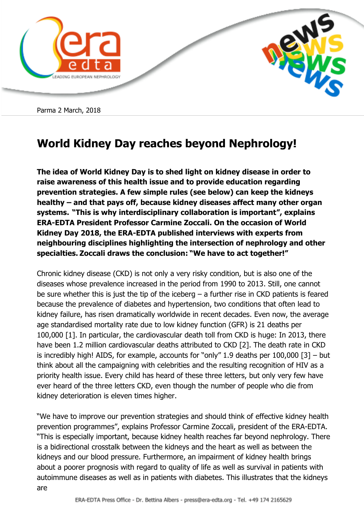

Parma 2 March, 2018

## **World Kidney Day reaches beyond Nephrology!**

**The idea of World Kidney Day is to shed light on kidney disease in order to raise awareness of this health issue and to provide education regarding prevention strategies. A few simple rules (see below) can keep the kidneys healthy – and that pays off, because kidney diseases affect many other organ systems. "This is why interdisciplinary collaboration is important", explains ERA-EDTA President Professor Carmine Zoccali. On the occasion of World Kidney Day 2018, the ERA-EDTA published interviews with experts from neighbouring disciplines highlighting the intersection of nephrology and other specialties. Zoccali draws the conclusion: "We have to act together!"**

Chronic kidney disease (CKD) is not only a very risky condition, but is also one of the diseases whose prevalence increased in the period from 1990 to 2013. Still, one cannot be sure whether this is just the tip of the iceberg  $-$  a further rise in CKD patients is feared because the prevalence of diabetes and hypertension, two conditions that often lead to kidney failure, has risen dramatically worldwide in recent decades. Even now, the average age standardised mortality rate due to low kidney function (GFR) is 21 deaths per 100,000 [1]. In particular, the cardiovascular death toll from CKD is huge: In 2013, there have been 1.2 million cardiovascular deaths attributed to CKD [2]. The death rate in CKD is incredibly high! AIDS, for example, accounts for "only" 1.9 deaths per 100,000 [3] – but think about all the campaigning with celebrities and the resulting recognition of HIV as a priority health issue. Every child has heard of these three letters, but only very few have ever heard of the three letters CKD, even though the number of people who die from kidney deterioration is eleven times higher.

"We have to improve our prevention strategies and should think of effective kidney health prevention programmes", explains Professor Carmine Zoccali, president of the ERA-EDTA. "This is especially important, because kidney health reaches far beyond nephrology. There is a bidirectional crosstalk between the kidneys and the heart as well as between the kidneys and our blood pressure. Furthermore, an impairment of kidney health brings about a poorer prognosis with regard to quality of life as well as survival in patients with autoimmune diseases as well as in patients with diabetes. This illustrates that the kidneys are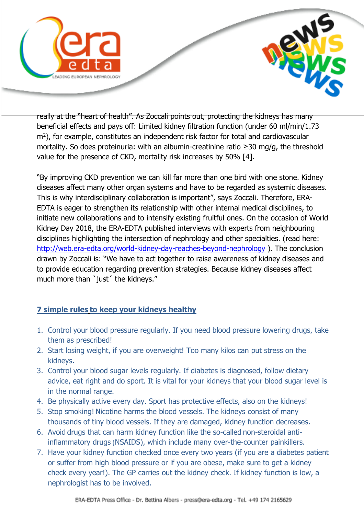

really at the "heart of health". As Zoccali points out, protecting the kidneys has many beneficial effects and pays off: Limited kidney filtration function (under 60 ml/min/1.73 m<sup>2</sup>), for example, constitutes an independent risk factor for total and cardiovascular mortality. So does proteinuria: with an albumin-creatinine ratio ≥30 mg/g, the threshold value for the presence of CKD, mortality risk increases by 50% [4].

"By improving CKD prevention we can kill far more than one bird with one stone. Kidney diseases affect many other organ systems and have to be regarded as systemic diseases. This is why interdisciplinary collaboration is important", says Zoccali. Therefore, ERA-EDTA is eager to strengthen its relationship with other internal medical disciplines, to initiate new collaborations and to intensify existing fruitful ones. On the occasion of World Kidney Day 2018, the ERA-EDTA published interviews with experts from neighbouring disciplines highlighting the intersection of nephrology and other specialties. (read here: <http://web.era-edta.org/world-kidney-day-reaches-beyond-nephrology> ). The conclusion drawn by Zoccali is: "We have to act together to raise awareness of kidney diseases and to provide education regarding prevention strategies. Because kidney diseases affect much more than `just' the kidneys."

## **7 simple rules to keep your kidneys healthy**

- 1. Control your blood pressure regularly. If you need blood pressure lowering drugs, take them as prescribed!
- 2. Start losing weight, if you are overweight! Too many kilos can put stress on the kidneys.
- 3. Control your blood sugar levels regularly. If diabetes is diagnosed, follow dietary advice, eat right and do sport. It is vital for your kidneys that your blood sugar level is in the normal range.
- 4. Be physically active every day. Sport has protective effects, also on the kidneys!
- 5. Stop smoking! Nicotine harms the blood vessels. The kidneys consist of many thousands of tiny blood vessels. If they are damaged, kidney function decreases.
- 6. Avoid drugs that can harm kidney function like the so-called non-steroidal antiinflammatory drugs (NSAIDS), which include many over-the-counter painkillers.
- 7. Have your kidney function checked once every two years (if you are a diabetes patient or suffer from high blood pressure or if you are obese, make sure to get a kidney check every year!). The GP carries out the kidney check. If kidney function is low, a nephrologist has to be involved.